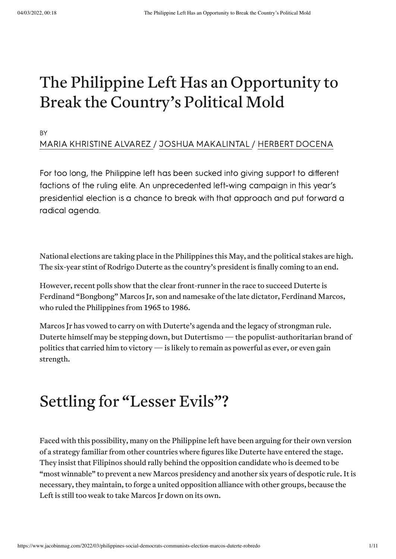# The Philippine Left Has an Opportunity to Break the Country's Political Mold

BY

#### MARIA [KHRISTINE](https://www.jacobinmag.com/author/maria-khristine-alvarez) ALVAREZ / JOSHUA [MAKALINTAL](https://www.jacobinmag.com/author/joshua-makalintal) / HERBERT [DOCENA](https://www.jacobinmag.com/author/herbert-docena)

For too long, the Philippine left has been sucked into giving support to different factions of the ruling elite. An unprecedented left-wing campaign in this year's presidential election is a chance to break with that approach and put forward a radical agenda.

National elections are taking place in the Philippines this May, and the political stakes are high. The six-year stint of Rodrigo Duterte as the country's president is finally coming to an end.

However, recent [polls](https://newsinfo.inquirer.net/1554181/marcos-jr-leads-the-latest-pulse-asia-survey-for-presidential-race) show that the clear front-runner in the race to succeed Duterte is Ferdinand "Bongbong" Marcos Jr, son and namesake of the late dictator, Ferdinand Marcos, who ruled the Philippines from 1965 to 1986.

Marcos Jr has vowed to carry on with Duterte's agenda and the legacy of strongman rule. Duterte himself may be stepping down, but [Dutertismo](https://opinion.inquirer.net/94530/dutertismo)—the populist-authoritarian brand of politics that carried him to victory—is likely to remain as powerful as ever, or even gain strength.

## Settling for "Lesser Evils"?

Faced with this possibility, many on the Philippine left have been arguing for their own version of a strategy familiar from other countries where figures like Duterte have entered the stage. They insist that Filipinos should rally behind the opposition candidate who is deemed to be "most winnable" to prevent a new Marcos presidency and another six years of despotic rule. It is necessary, they maintain, to forge a united opposition alliance with other groups, because the Left is still too weak to take Marcos Ir down on its own.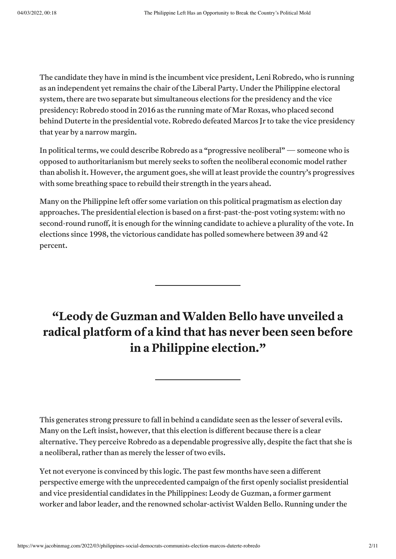The candidate they have in mind is the incumbent vice president, Leni Robredo, who is running as an independent yet remains the [chair](https://www.rappler.com/nation/elections/video-robredo-runs-president-as-independent-2022/) of the Liberal Party. Under the Philippine electoral system, there are two separate but simultaneous elections for the presidency and the vice presidency: Robredo stood in 2016 as the running mate of Mar Roxas, who placed second behind Duterte in the presidential vote. Robredo defeated Marcos Jr to take the vice presidency that year by a narrow margin.

In political terms, we could describe Robredo as a ["progressive](https://www.dissentmagazine.org/online_articles/progressive-neoliberalism-reactionary-populism-nancy-fraser) neoliberal" — someone who is opposed to authoritarianism but merely seeks to soften the neoliberal economic model rather than abolish it. However, the argument goes, she will at least provide the country's progressives with some breathing space to rebuild their strength in the years ahead.

Many on the Philippine left offer some variation on this political pragmatism as election day approaches. The presidential election is based on a first-past-the-post voting system: with no second-round runoff, it is enough for the winning candidate to achieve a plurality of the vote. In elections since 1998, the victorious candidate has polled somewhere between 39 and 42 percent.

### **"Leody de Guzman andWalden Bello have unveiled a radical platform of a kind that has never been seen before in a Philippine election."**

This generates strong pressure to fall in behind a candidate seen as the lesser of several evils. Many on the Left insist, however, that this election is different because there is a clear alternative. They perceive Robredo as a dependable progressive ally, despite the fact that she is a neoliberal, rather than as merely the lesser of two evils.

Yet not everyone is convinced by this logic. The past few months have seen a different perspective emerge with the unprecedented campaign ofthe first openly socialist presidential and vice presidential candidates in the Philippines: Leody de Guzman, a former garment worker and labor leader, and the renowned scholar-activist [Walden](https://newleftreview.org/issues/ii16/articles/walden-bello-pacific-panopticon) Bello. Running under the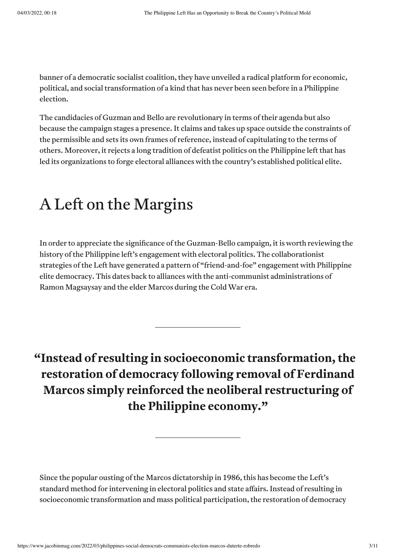banner of a democratic socialist coalition, they have unveiled a radical [platform](https://www.lnm.ph/platform) for economic, political, and social transformation of a kind that has never been seen before in a Philippine election.

The candidacies of Guzman and Bello are revolutionary in terms of their agenda but also because the campaign stages a [presence.](http://www.after1968.org/app/webroot/uploads/RanciereTHESESONPOLITICS.pdf) It claims and takes up space outside the constraints of the permissible and sets its own frames of reference, instead of capitulating to the terms of others. Moreover, it rejects a long tradition of defeatist politics on the Philippine left that has led its organizations to forge electoral alliances with the country's established political elite.

## A Left on the Margins

In order to appreciate the significance of the Guzman-Bello campaign, it is worth reviewing the history of the Philippine left's engagement with electoral politics. The collaborationist strategies ofthe Left have generated a pattern of "[friend-and-foe](https://www.tandfonline.com/doi/full/10.1080/10357823.2020.1828273)" engagement with Philippine elite democracy. This dates back to alliances with the anti-communist administrations of Ramon Magsaysay and the elder [Marcos](https://www.wsws.org/en/articles/2020/09/01/lect-s01.html) during the Cold War era.

**"Instead of resulting in socioeconomic transformation, the restoration of democracy following removal of Ferdinand Marcos simply reinforced the neoliberal restructuring of the Philippine economy."**

Since the popular ousting of the Marcos dictatorship in 1986, this has become the Left's standard method for intervening in electoral politics and state affairs. Instead of resulting in socioeconomic transformation and mass political participation, the restoration of democracy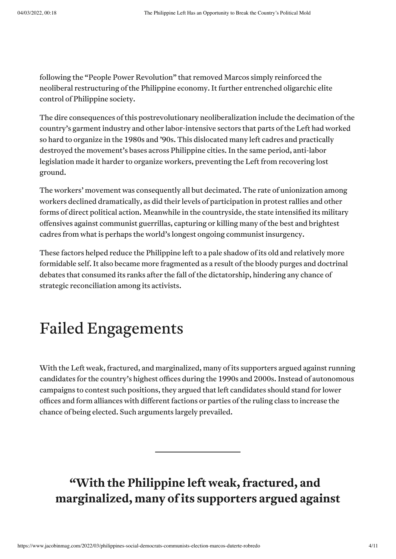following the "People Power Revolution" that removed Marcos simply reinforced the neoliberal restructuring of the Philippine economy. It further entrenched oligarchic elite control of Philippine society.

The dire consequences of this postrevolutionary neoliberalization include the decimation of the country's garment industry and other labor-intensive sectors that parts of the Left had worked so hard to organize in the 1980s and '90s. This dislocated many left cadres and practically destroyed the movement's bases across Philippine cities. In the same period, anti-labor legislation made it harder to organize workers, preventing the Left from recovering lost ground.

The workers' movement was consequently all but decimated. The rate of [unionization](http://library.fes.de/pdf-files/bueros/philippinen/07130.pdf) among workers declined dramatically, as did their levels of participation in protest rallies and other forms of direct political action. Meanwhile in the countryside, the state intensified its military offensives against communist guerrillas, capturing or killing many ofthe best and brightest cadres from what is perhaps the world's longest ongoing communist insurgency.

These factors helped reduce the Philippine left to a pale shadow of its old and relatively more formidable self. It also became more [fragmented](https://journals.upd.edu.ph/index.php/kasarinlan/article/view/304) as a result of the bloody purges and doctrinal [debates](https://www.marxists.org/history/philippines/ra-rj/pabico/great-left-divide.htm) that consumed its ranks after the fall of the dictatorship, hindering any chance of strategic reconciliation among its activists.

## Failed Engagements

With the Left weak, fractured, and marginalized, many of its supporters argued against running candidates for the country's highest offices during the 1990s and 2000s. Instead of autonomous campaigns to contest such positions, they argued that left candidates should stand for lower offices and form alliances with different factions or parties of the ruling class to increase the chance of being elected. Such arguments largely prevailed.

### **"With the Philippine left weak,fractured, and marginalized, many ofits supporters argued against**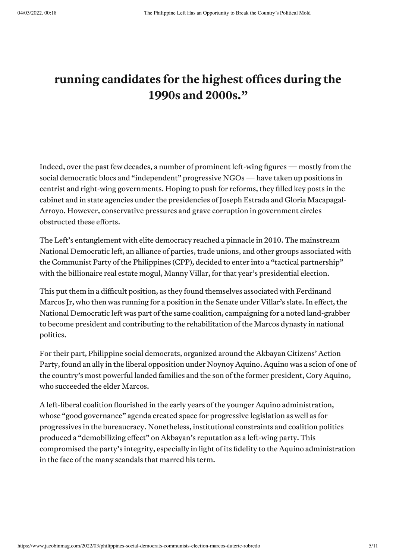#### **running candidates for the highest offices during the 1990s and 2000s."**

Indeed, over the past few decades, a number of prominent left-wing figures — mostly from the social democratic blocs and "independent" progressive NGOs—have taken up positions in centrist and right-wing governments. Hoping to push for reforms,they filled key posts in the cabinet and in state agencies under the presidencies of Joseph Estrada and Gloria Macapagal-Arroyo. However, conservative pressures and grave corruption in government circles obstructed these efforts.

The Left's entanglement with elite democracy reached a pinnacle in 2010. The mainstream National Democratic left, an alliance of parties, trade unions, and other groups associated with the Communist Party of the Philippines (CPP), decided to enter into a "tactical [partnership"](https://news.abs-cbn.com/nation/11/10/09/villar-alliance-leftists-final-stages) with the billionaire real estate mogul, Manny Villar, for that year's presidential election.

This put them in a difficult position, as they found themselves associated with Ferdinand Marcos Jr, who then was running for a position in the Senate under Villar's slate. In effect, the National Democratic left was part of the same coalition, campaigning for a noted [land-grabber](https://news.abs-cbn.com/nation/04/12/10/how-villar-built-business-empire-deceit-corruption-ex-lawyer) to become president and contributing to the rehabilitation of the Marcos dynasty in national politics.

For their part, Philippine social democrats, organized around the Akbayan Citizens' Action Party, found an ally in the liberal opposition under Noynoy Aquino. Aquino was a scion of one of the country's most powerful landed families and the son of the former president, Cory Aquino, who succeeded the elder Marcos.

A left-liberal coalition flourished in the early years ofthe younger Aquino administration, whose "good [governance](https://newsinfo.inquirer.net/1450949/the-aquino-legacy-on-to-daang-matuwid-no-to-wangwang)" agenda created space for progressive legislation as well as for progressives in the bureaucracy. Nonetheless, institutional constraints and coalition politics produced a "[demobilizing](https://journals.upd.edu.ph/index.php/kasarinlan/article/view/4975) effect" on Akbayan's reputation as a left-wing party. This compromised the party's [integrity](https://www.rappler.com/voices/thought-leaders/96067-akbayan-progressive-politics/), especially in light of its fidelity to the Aquino administration in the face of the many scandals that marred his term.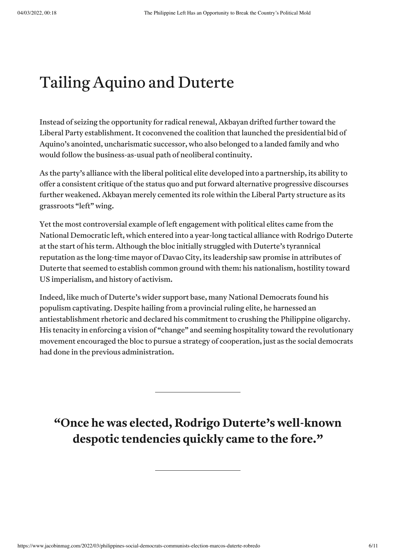## Tailing Aquino and Duterte

Instead of seizing the opportunity for radical renewal, Akbayan drifted further toward the Liberal Party establishment. It coconvened the coalition that launched the presidential bid of Aquino's anointed, uncharismatic successor, who also belonged to a landed family and who would follow the business-as-usual path of neoliberal continuity.

As the party's alliance with the liberal political elite developed into a partnership, its ability to offer a consistent critique of the status quo and put forward alternative progressive discourses further weakened. Akbayan merely cemented its role within the Liberal Party structure as its grassroots "left" wing.

Yetthe most controversial example of left engagement with political elites came from the National Democratic left, which entered into a year-long tactical alliance with Rodrigo Duterte atthe start of his term. Although the bloc initially [struggled](https://www.jacobinmag.com/2016/02/duterte-philippines-election-maoists-cpp-marcos-death-squads/) with Duterte's tyrannical [reputation](https://www.hrw.org/report/2009/04/06/you-can-die-any-time/death-squad-killings-mindanao) as the long-time mayor of Davao City, its leadership saw [promise](https://www.rappler.com/voices/thought-leaders/152401-left-unity-struggle-duterte/) in attributes of Duterte that seemed to establish common ground with them: his nationalism, hostility toward US imperialism, and history of activism.

Indeed, like much of Duterte's wider support base, many National Democrats found his populism captivating. Despite hailing from a provincial ruling elite, he harnessed an antiestablishment rhetoric and declared his commitment to crushing the Philippine oligarchy. His tenacity in enforcing a vision of "change" and seeming hospitality toward the revolutionary movement encouraged the bloc to pursue a strategy of cooperation, just as the social democrats had done in the previous administration.

**"Once he was elected, Rodrigo Duterte's well-known despotic tendencies quickly came to the fore."**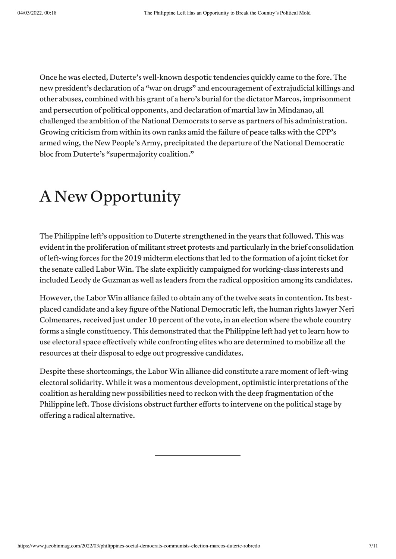Once he was elected, Duterte's well-known despotic tendencies quickly came to the fore. The new president's declaration of a "war on drugs" and encouragement of extrajudicial [killings](https://www.hrw.org/news/2016/11/02/philippine-presidents-war-drugs-leaves-thousands-dead) and other abuses, combined with his grant of a hero's burial for the dictator Marcos, imprisonment and persecution of political opponents, and declaration of martial law in Mindanao, all challenged the ambition of the National Democrats to serve as partners of his administration. Growing criticism from within its own ranks amid the failure of peace talks with the CPP's armed wing, the New People's Army, precipitated the departure of the National Democratic bloc from Duterte's "supermajority coalition."

## A New Opportunity

The Philippine left's opposition to Duterte strengthened in the years that followed. This was evident in the proliferation of militant street protests and particularly in the brief consolidation of left-wing forces for the 2019 midterm elections that led to the formation of a joint ticket for the senate called [Labor](https://www.philstar.com/headlines/2019/03/04/1898590/who-labor-win-alliance) Win. The slate explicitly campaigned for working-class interests and included Leody de Guzman as well as leaders from the radical opposition among its candidates.

However, the Labor Win alliance failed to obtain any of the twelve seats in contention. Its bestplaced candidate and a key figure of the National Democratic left, the human rights lawyer Neri Colmenares, received just under 10 percent of the vote, in an election where the whole country forms a single constituency. This demonstrated that the Philippine left had yet to learn how to use electoral space effectively while confronting elites who are determined to mobilize all the resources at their disposal to edge out progressive candidates.

Despite these shortcomings, the Labor Win alliance did constitute a rare moment of left-wing electoral solidarity. While it was a momentous development, optimistic interpretations ofthe coalition as heralding new possibilities need to reckon with the deep fragmentation of the Philippine left. Those divisions obstruct further efforts to intervene on the political stage by offering a radical alternative.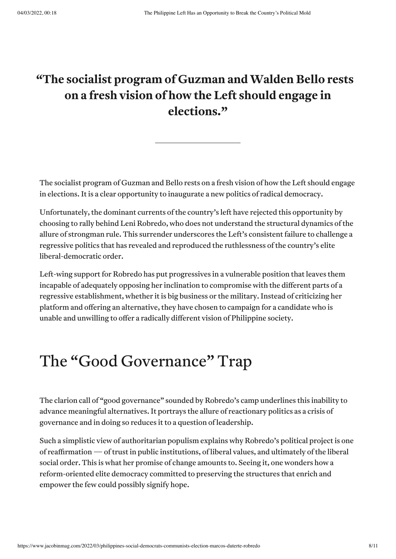#### **"The socialist program of Guzman andWalden Bello rests on a fresh vision of how the Left should engage in elections."**

The socialist program of Guzman and Bello rests on a fresh vision of how the Left should engage in elections. Itis a clear opportunity to inaugurate a new politics of radical democracy.

Unfortunately, the dominant currents of the country's left have rejected this opportunity by choosing to rally behind Leni Robredo, who does not understand the structural dynamics ofthe allure of strongman rule. This surrender underscores the Left's consistent failure to challenge a regressive politics that has revealed and reproduced the ruthlessness of the country's elite liberal-democratic order.

Left-wing support for Robredo has put progressives in a vulnerable position that leaves them incapable of adequately opposing her inclination to compromise with the different parts of a regressive establishment, whether it is big business or the military. Instead of criticizing her platform and offering an alternative, they have chosen to campaign for a candidate who is unable and unwilling to offer a radically different vision of Philippine society.

## The "Good Governance" Trap

The clarion call of "good [governance](https://www.philstar.com/news-commentary/2021/10/14/2134133/curbing-covid-pushing-good-governance-robredo-gives-preview-presidency)" sounded by Robredo's camp underlines this inability to advance meaningful alternatives. It portrays the allure of reactionary politics as a crisis of governance and in doing so reduces it to a question of leadership.

Such a simplistic view of authoritarian populism explains why Robredo's political project is one of reaffirmation—oftrustin public institutions, of liberal values, and ultimately ofthe liberal social order. This is what her promise of change amounts to. Seeing it, one wonders how a reform-oriented elite democracy committed to preserving the structures that enrich and empower the few could possibly signify hope.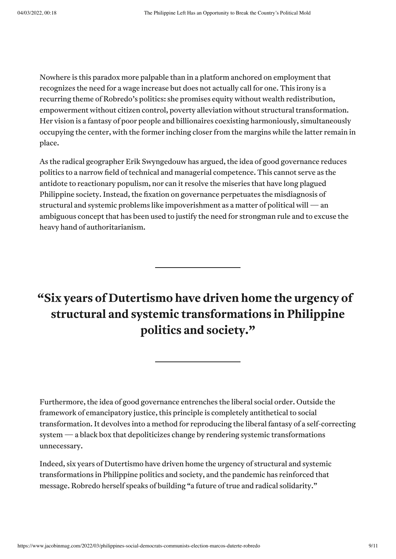Nowhere is this paradox more palpable than in a platform anchored on employment that recognizes the need for a wage increase but does not actually call for one. This irony is a recurring theme of Robredo's politics: she promises equity without wealth redistribution, empowerment without citizen control, poverty alleviation without structural transformation. Her vision is a fantasy of poor people and billionaires coexisting harmoniously, simultaneously occupying the [center,](https://www.rappler.com/nation/elections/leni-robredo-vow-new-politics-nod-jesse-robredo-proclamation-rally-february-8-2022/) with the former inching closer from the margins while the latter remain in place.

As the radical geographer Erik Swyngedouw has [argued](https://journals.sagepub.com/doi/10.1080/00420980500279869), the idea of good governance reduces politics to a narrow field of technical and managerial competence. This cannot serve as the antidote to reactionary populism, nor can it resolve the miseries that have long plagued Philippine society. Instead, the fixation on governance perpetuates the misdiagnosis of structural and systemic problems like impoverishment as a matter of political will — an [ambiguous](https://www.vox.com/2016/2/17/11030876/political-will-definition) concept that has been used to justify the need for strongman rule and to excuse the heavy hand of authoritarianism.

#### **"Six years of Dutertismo have driven home the urgency of structural and systemic transformations in Philippine politics and society."**

Furthermore, the idea of good governance entrenches the liberal social order. Outside the framework of emancipatory justice, this principle is completely antithetical to social transformation. It devolves into a method for reproducing the liberal fantasy of a self-correcting system—a black box that depoliticizes change by rendering systemic transformations unnecessary.

Indeed, six years of Dutertismo have driven home the urgency of structural and systemic transformations in Philippine politics and society, and the pandemic has reinforced that message. Robredo herself speaks of building "a [future](https://news.abs-cbn.com/news/11/30/21/pave-inclusive-future-amid-adversity-robredo-says-at-magsaysay-awards) of true and radical solidarity."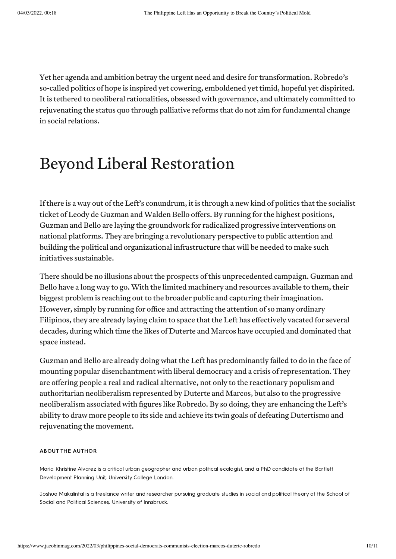Yet her agenda and ambition betray the urgent need and desire for transformation. Robredo's so-called politics of hope is inspired yet cowering, emboldened yet timid, hopeful yet dispirited. It is tethered to neoliberal rationalities, obsessed with governance, and ultimately committed to rejuvenating the status quo through palliative reforms that do not aim for fundamental change in social relations.

### Beyond Liberal Restoration

If there is a way out of the Left's conundrum, it is through a new kind of politics that the socialist ticket of Leody de Guzman and Walden Bello offers. By running for the highest positions, Guzman and Bello are laying the groundwork for radicalized progressive interventions on national platforms. They are bringing a revolutionary perspective to public attention and building the political and organizational infrastructure that will be needed to make such initiatives sustainable.

There should be no illusions about the prospects of this unprecedented campaign. Guzman and Bello have a long way to go. With the limited machinery and resources available to them, their biggest problem is reaching out to the broader public and capturing their imagination. However, simply by running for office and attracting the attention of so many ordinary Filipinos, they are already laying claim to space that the Left has effectively vacated for several decades, during which time the likes of Duterte and Marcos have occupied and dominated that space instead.

Guzman and Bello are already doing what the Left has predominantly failed to do in the face of mounting popular disenchantment with liberal democracy and a crisis of representation. They are offering people a real and radical alternative, not only to the reactionary populism and authoritarian neoliberalism represented by Duterte and Marcos, but also to the progressive neoliberalism associated with figures like Robredo. By so doing, they are enhancing the Left's ability to draw more people to its side and achieve its twin goals of defeating Dutertismo and rejuvenating the movement.

#### ABOUT THE AUTHOR

Maria Khristine Alvarez is a critical urban geographer and urban political ecologist, and a PhD candidate at the Bartlett Development Planning Unit, University College London.

Joshua Makalintal is a freelance writer and researcher pursuing graduate studies in social and political theory at the School of Social and Political Sciences, University of Innsbruck.